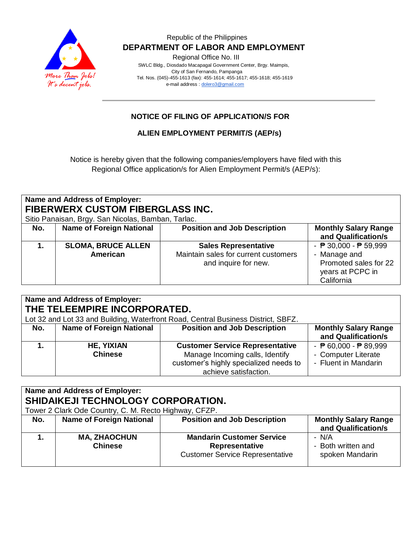

## Republic of the Philippines  **DEPARTMENT OF LABOR AND EMPLOYMENT**

Regional Office No. III

 SWLC Bldg., Diosdado Macapagal Government Center, Brgy. Maimpis, City of San Fernando, Pampanga Tel. Nos. (045)-455-1613 (fax): 455-1614; 455-1617; 455-1618; 455-1619 e-mail address [: dolero3@gmail.com](mailto:dolero3@gmail.com)

## **NOTICE OF FILING OF APPLICATION/S FOR**

## **ALIEN EMPLOYMENT PERMIT/S (AEP/s)**

Notice is hereby given that the following companies/employers have filed with this Regional Office application/s for Alien Employment Permit/s (AEP/s):

# **Name and Address of Employer: FIBERWERX CUSTOM FIBERGLASS INC.**

Sitio Panaisan, Brgy. San Nicolas, Bamban, Tarlac.

| Sitio Pariaisari, Bigy. Sari Nicolas, Barlibari,<br>Tallac. |                                              |                                                                                             |                                                                                                                    |  |  |  |
|-------------------------------------------------------------|----------------------------------------------|---------------------------------------------------------------------------------------------|--------------------------------------------------------------------------------------------------------------------|--|--|--|
| No.                                                         | <b>Name of Foreign National</b>              | <b>Position and Job Description</b>                                                         | <b>Monthly Salary Range</b><br>and Qualification/s                                                                 |  |  |  |
|                                                             | <b>SLOMA, BRUCE ALLEN</b><br><b>American</b> | <b>Sales Representative</b><br>Maintain sales for current customers<br>and inquire for new. | - $\sqrt{P}$ 30,000 - $\sqrt{P}$ 59,999<br>- Manage and<br>Promoted sales for 22<br>years at PCPC in<br>California |  |  |  |

| <b>Name and Address of Employer:</b><br>THE TELEEMPIRE INCORPORATED.<br>Lot 32 and Lot 33 and Building, Waterfront Road, Central Business District, SBFZ. |                                     |                                                                                                                                              |                                                                                                |  |  |  |
|-----------------------------------------------------------------------------------------------------------------------------------------------------------|-------------------------------------|----------------------------------------------------------------------------------------------------------------------------------------------|------------------------------------------------------------------------------------------------|--|--|--|
| No.                                                                                                                                                       | <b>Name of Foreign National</b>     | <b>Position and Job Description</b>                                                                                                          | <b>Monthly Salary Range</b><br>and Qualification/s                                             |  |  |  |
|                                                                                                                                                           | <b>HE, YIXIAN</b><br><b>Chinese</b> | <b>Customer Service Representative</b><br>Manage Incoming calls, Identify<br>customer's highly specialized needs to<br>achieve satisfaction. | - $\overline{P}$ 60,000 - $\overline{P}$ 89,999<br>- Computer Literate<br>- Fluent in Mandarin |  |  |  |

## **Name and Address of Employer: SHIDAIKEJI TECHNOLOGY CORPORATION.** Tower 2 Clark Ode Country, C. M. Recto Highway, CFZP.

| Tower 2 Clark Ode Country, C. M. Recto Highway, CFZP. |                                       |                                                                                              |                                                    |  |  |
|-------------------------------------------------------|---------------------------------------|----------------------------------------------------------------------------------------------|----------------------------------------------------|--|--|
| No.                                                   | <b>Name of Foreign National</b>       | <b>Position and Job Description</b>                                                          | <b>Monthly Salary Range</b><br>and Qualification/s |  |  |
|                                                       | <b>MA, ZHAOCHUN</b><br><b>Chinese</b> | <b>Mandarin Customer Service</b><br>Representative<br><b>Customer Service Representative</b> | - N/A<br>- Both written and<br>spoken Mandarin     |  |  |